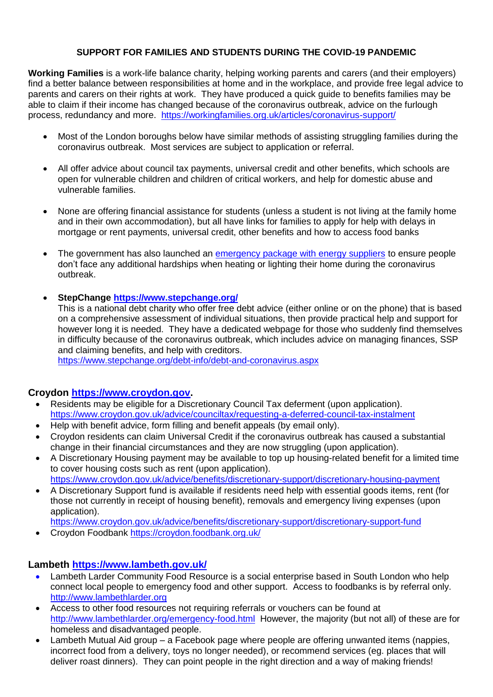### **SUPPORT FOR FAMILIES AND STUDENTS DURING THE COVID-19 PANDEMIC**

**Working Families** is a work-life balance charity, helping working parents and carers (and their employers) find a better balance between responsibilities at home and in the workplace, and provide free legal advice to parents and carers on their rights at work. They have produced a quick guide to benefits families may be able to claim if their income has changed because of the coronavirus outbreak, advice on the furlough process, redundancy and more. <https://workingfamilies.org.uk/articles/coronavirus-support/>

- Most of the London boroughs below have similar methods of assisting struggling families during the coronavirus outbreak. Most services are subject to application or referral.
- All offer advice about council tax payments, universal credit and other benefits, which schools are open for vulnerable children and children of critical workers, and help for domestic abuse and vulnerable families.
- None are offering financial assistance for students (unless a student is not living at the family home and in their own accommodation), but all have links for families to apply for help with delays in mortgage or rent payments, universal credit, other benefits and how to access food banks
- The government has also launched an [emergency package with energy suppliers](https://www.gov.uk/government/news/government-agrees-measures-with-energy-industry-to-support-vulnerable-people-through-covid-19) to ensure people don't face any additional hardships when heating or lighting their home during the coronavirus outbreak.

#### **StepChange<https://www.stepchange.org/>**

This is a national debt charity who offer free debt advice (either online or on the phone) that is based on a comprehensive assessment of individual situations, then provide practical help and support for however long it is needed. They have a dedicated webpage for those who suddenly find themselves in difficulty because of the coronavirus outbreak, which includes advice on managing finances, SSP and claiming benefits, and help with creditors.

<https://www.stepchange.org/debt-info/debt-and-coronavirus.aspx>

### **Croydon [https://www.croydon.gov.](https://www.croydon.gov/)**

- Residents may be eligible for a Discretionary Council Tax deferment (upon application). <https://www.croydon.gov.uk/advice/counciltax/requesting-a-deferred-council-tax-instalment>
- Help with benefit advice, form filling and benefit appeals (by email only).
- Croydon residents can claim Universal Credit if the coronavirus outbreak has caused a substantial change in their financial circumstances and they are now struggling (upon application).
- A Discretionary Housing payment may be available to top up housing-related benefit for a limited time to cover housing costs such as rent (upon application). <https://www.croydon.gov.uk/advice/benefits/discretionary-support/discretionary-housing-payment>
- A Discretionary Support fund is available if residents need help with essential goods items, rent (for those not currently in receipt of housing benefit), removals and emergency living expenses (upon application).
- <https://www.croydon.gov.uk/advice/benefits/discretionary-support/discretionary-support-fund>
- Croydon Foodbank<https://croydon.foodbank.org.uk/>

### **Lambeth <https://www.lambeth.gov.uk/>**

- Lambeth Larder Community Food Resource is a social enterprise based in South London who help connect local people to emergency food and other support. Access to foodbanks is by referral only. [http://www.lambethlarder.org](http://www.lambethlarder.org/)
- Access to other food resources not requiring referrals or vouchers can be found at <http://www.lambethlarder.org/emergency-food.html>However, the majority (but not all) of these are for homeless and disadvantaged people.
- Lambeth Mutual Aid group a Facebook page where people are offering unwanted items (nappies, incorrect food from a delivery, toys no longer needed), or recommend services (eg. places that will deliver roast dinners). They can point people in the right direction and a way of making friends!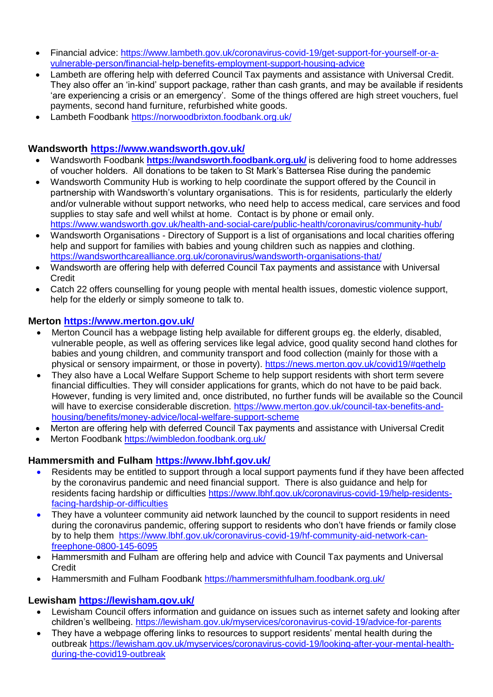- Financial advice: [https://www.lambeth.gov.uk/coronavirus-covid-19/get-support-for-yourself-or-a](https://www.lambeth.gov.uk/coronavirus-covid-19/get-support-for-yourself-or-a-vulnerable-person/financial-help-benefits-employment-support-housing-advice)[vulnerable-person/financial-help-benefits-employment-support-housing-advice](https://www.lambeth.gov.uk/coronavirus-covid-19/get-support-for-yourself-or-a-vulnerable-person/financial-help-benefits-employment-support-housing-advice)
- Lambeth are offering help with deferred Council Tax payments and assistance with Universal Credit. They also offer an 'in-kind' support package, rather than cash grants, and may be available if residents 'are experiencing a crisis or an emergency'. Some of the things offered are high street vouchers, fuel payments, second hand furniture, refurbished white goods.
- Lambeth Foodbank<https://norwoodbrixton.foodbank.org.uk/>

# **Wandsworth <https://www.wandsworth.gov.uk/>**

- Wandsworth Foodbank **<https://wandsworth.foodbank.org.uk/>** is delivering food to home addresses of voucher holders. All donations to be taken to St Mark's Battersea Rise during the pandemic
- Wandsworth Community Hub is working to help coordinate the support offered by the Council in partnership with Wandsworth's voluntary organisations. This is for residents, particularly the elderly and/or vulnerable without support networks, who need help to access medical, care services and food supplies to stay safe and well whilst at home. Contact is by phone or email only. <https://www.wandsworth.gov.uk/health-and-social-care/public-health/coronavirus/community-hub/>
- Wandsworth Organisations Directory of Support is a list of organisations and local charities offering help and support for families with babies and young children such as nappies and clothing. <https://wandsworthcarealliance.org.uk/coronavirus/wandsworth-organisations-that/>
- Wandsworth are offering help with deferred Council Tax payments and assistance with Universal **Credit**
- Catch 22 offers counselling for young people with mental health issues, domestic violence support, help for the elderly or simply someone to talk to.

## **Merton <https://www.merton.gov.uk/>**

- Merton Council has a webpage listing help available for different groups eg. the elderly, disabled, vulnerable people, as well as offering services like legal advice, good quality second hand clothes for babies and young children, and community transport and food collection (mainly for those with a physical or sensory impairment, or those in poverty). <https://news.merton.gov.uk/covid19/#gethelp>
- They also have a Local Welfare Support Scheme to help support residents with short term severe financial difficulties. They will consider applications for grants, which do not have to be paid back. However, funding is very limited and, once distributed, no further funds will be available so the Council will have to exercise considerable discretion. [https://www.merton.gov.uk/council-tax-benefits-and](https://www.merton.gov.uk/council-tax-benefits-and-housing/benefits/money-advice/local-welfare-support-scheme)[housing/benefits/money-advice/local-welfare-support-scheme](https://www.merton.gov.uk/council-tax-benefits-and-housing/benefits/money-advice/local-welfare-support-scheme)
- Merton are offering help with deferred Council Tax payments and assistance with Universal Credit
- Merton Foodbank<https://wimbledon.foodbank.org.uk/>

# **Hammersmith and Fulham <https://www.lbhf.gov.uk/>**

- Residents may be entitled to support through a local support payments fund if they have been affected by the coronavirus pandemic and need financial support. There is also guidance and help for residents facing hardship or difficulties [https://www.lbhf.gov.uk/coronavirus-covid-19/help-residents](https://www.lbhf.gov.uk/coronavirus-covid-19/help-residents-facing-hardship-or-difficulties)[facing-hardship-or-difficulties](https://www.lbhf.gov.uk/coronavirus-covid-19/help-residents-facing-hardship-or-difficulties)
- They have a volunteer community aid network launched by the council to support residents in need during the coronavirus pandemic, offering support to residents who don't have friends or family close by to help them [https://www.lbhf.gov.uk/coronavirus-covid-19/hf-community-aid-network-can](https://www.lbhf.gov.uk/coronavirus-covid-19/hf-community-aid-network-can-freephone-0800-145-6095)[freephone-0800-145-6095](https://www.lbhf.gov.uk/coronavirus-covid-19/hf-community-aid-network-can-freephone-0800-145-6095)
- Hammersmith and Fulham are offering help and advice with Council Tax payments and Universal Credit
- Hammersmith and Fulham Foodbank<https://hammersmithfulham.foodbank.org.uk/>

# **Lewisham <https://lewisham.gov.uk/>**

- Lewisham Council offers information and guidance on issues such as internet safety and looking after children's wellbeing.<https://lewisham.gov.uk/myservices/coronavirus-covid-19/advice-for-parents>
- They have a webpage offering links to resources to support residents' mental health during the outbreak [https://lewisham.gov.uk/myservices/coronavirus-covid-19/looking-after-your-mental-health](https://lewisham.gov.uk/myservices/coronavirus-covid-19/looking-after-your-mental-health-during-the-covid19-outbreak)[during-the-covid19-outbreak](https://lewisham.gov.uk/myservices/coronavirus-covid-19/looking-after-your-mental-health-during-the-covid19-outbreak)